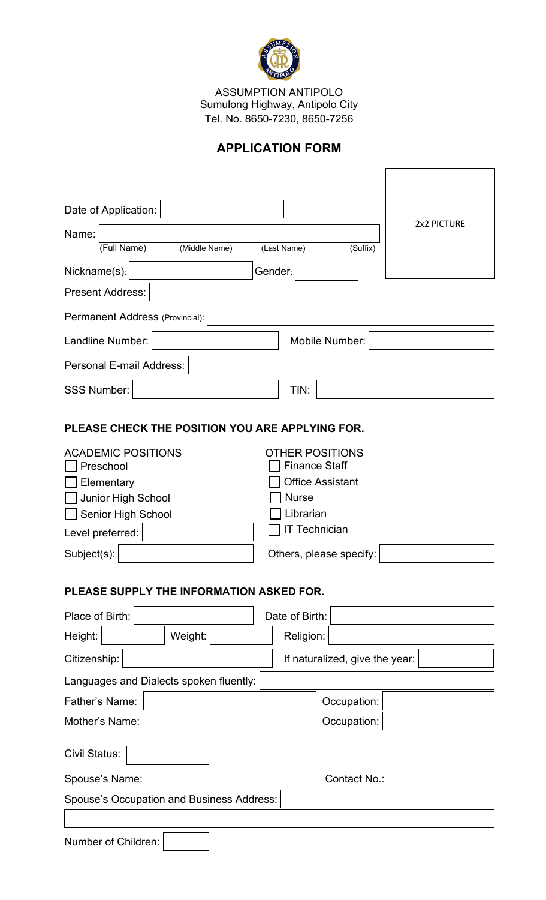

ASSUMPTION ANTIPOLO Sumulong Highway, Antipolo City Tel. No. 8650-7230, 8650-7256

## **APPLICATION FORM**

| Date of Application:                                                                                                                                                                   |                                                                                                                                                          |             |  |  |  |
|----------------------------------------------------------------------------------------------------------------------------------------------------------------------------------------|----------------------------------------------------------------------------------------------------------------------------------------------------------|-------------|--|--|--|
| Name:                                                                                                                                                                                  |                                                                                                                                                          | 2x2 PICTURE |  |  |  |
| (Full Name)<br>(Middle Name)                                                                                                                                                           | (Last Name)<br>(Suffix)                                                                                                                                  |             |  |  |  |
| Nickname(s):                                                                                                                                                                           | Gender:<br>$\blacktriangledown$                                                                                                                          |             |  |  |  |
| <b>Present Address:</b>                                                                                                                                                                |                                                                                                                                                          |             |  |  |  |
| Permanent Address (Provincial):                                                                                                                                                        |                                                                                                                                                          |             |  |  |  |
| Landline Number:                                                                                                                                                                       | Mobile Number:                                                                                                                                           |             |  |  |  |
| Personal E-mail Address:                                                                                                                                                               |                                                                                                                                                          |             |  |  |  |
| <b>SSS Number:</b>                                                                                                                                                                     | TIN:                                                                                                                                                     |             |  |  |  |
| PLEASE CHECK THE POSITION YOU ARE APPLYING FOR.<br><b>ACADEMIC POSITIONS</b><br>Preschool<br>Elementary<br>Junior High School<br>Senior High School<br>Level preferred:<br>Subject(s): | <b>OTHER POSITIONS</b><br><b>Finance Staff</b><br><b>Office Assistant</b><br><b>Nurse</b><br>Librarian<br><b>T</b> Technician<br>Others, please specify: |             |  |  |  |
| PLEASE SUPPLY THE INFORMATION ASKED FOR.                                                                                                                                               |                                                                                                                                                          |             |  |  |  |
| Place of Birth:                                                                                                                                                                        | Date of Birth:                                                                                                                                           |             |  |  |  |
| Height:<br>Weight:                                                                                                                                                                     | Religion:                                                                                                                                                |             |  |  |  |
| Citizenship:                                                                                                                                                                           | If naturalized, give the year:                                                                                                                           |             |  |  |  |
| Languages and Dialects spoken fluently:                                                                                                                                                |                                                                                                                                                          |             |  |  |  |
| Father's Name:                                                                                                                                                                         | Occupation:                                                                                                                                              |             |  |  |  |
| Mother's Name:                                                                                                                                                                         | Occupation:                                                                                                                                              |             |  |  |  |
| Civil Status:<br>▼∣                                                                                                                                                                    |                                                                                                                                                          |             |  |  |  |

Spouse's Name: Contact No.: Spouse's Occupation and Business Address:

Number of Children: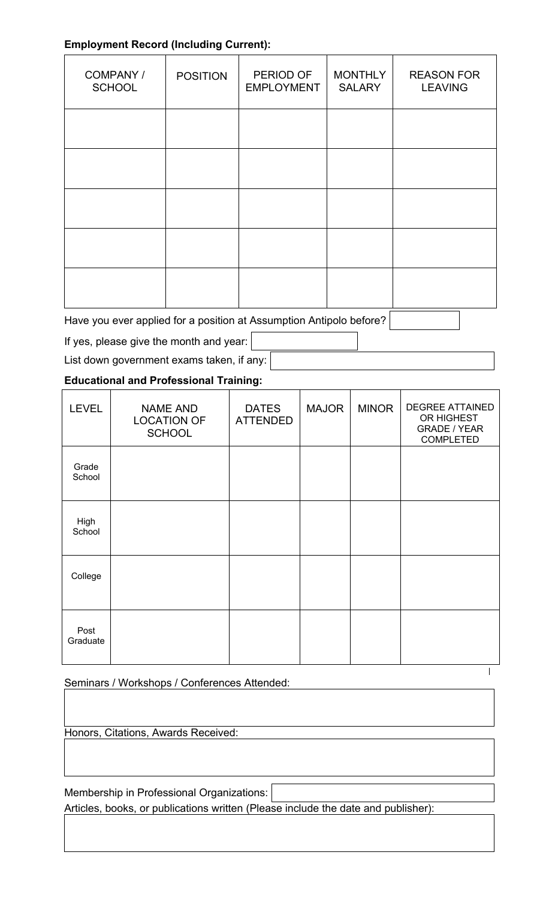## **Employment Record (Including Current):**

| COMPANY /<br><b>SCHOOL</b> | <b>POSITION</b> | PERIOD OF<br><b>EMPLOYMENT</b> | <b>MONTHLY</b><br><b>SALARY</b> | <b>REASON FOR</b><br><b>LEAVING</b> |
|----------------------------|-----------------|--------------------------------|---------------------------------|-------------------------------------|
|                            |                 |                                |                                 |                                     |
|                            |                 |                                |                                 |                                     |
|                            |                 |                                |                                 |                                     |
|                            |                 |                                |                                 |                                     |
|                            |                 |                                |                                 |                                     |

 $\boxed{\blacksquare}$ 

 $\overline{1}$ 

Have you ever applied for a position at Assumption Antipolo before?

If yes, please give the month and year:

List down government exams taken, if any:

## **Educational and Professional Training:**

| <b>LEVEL</b>     | <b>NAME AND</b><br><b>LOCATION OF</b><br><b>SCHOOL</b> | <b>DATES</b><br><b>ATTENDED</b> | <b>MAJOR</b> | <b>MINOR</b> | <b>DEGREE ATTAINED</b><br>OR HIGHEST<br><b>GRADE / YEAR</b><br><b>COMPLETED</b> |
|------------------|--------------------------------------------------------|---------------------------------|--------------|--------------|---------------------------------------------------------------------------------|
| Grade<br>School  |                                                        |                                 |              |              |                                                                                 |
| High<br>School   |                                                        |                                 |              |              |                                                                                 |
| College          |                                                        |                                 |              |              |                                                                                 |
| Post<br>Graduate |                                                        |                                 |              |              |                                                                                 |

## Seminars / Workshops / Conferences Attended:

Honors, Citations, Awards Received:

Membership in Professional Organizations: Articles, books, or publications written (Please include the date and publisher):